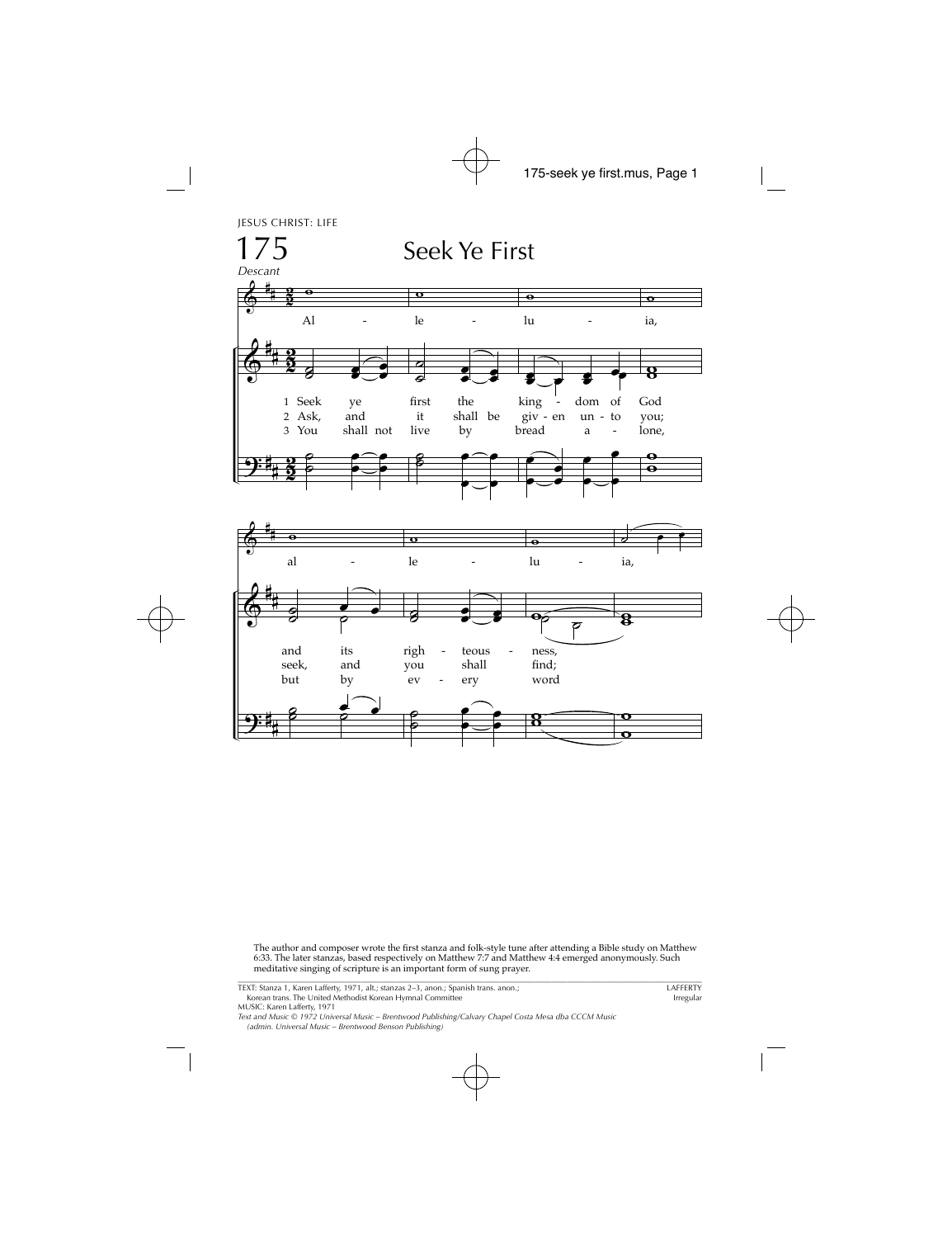JESUS CHRIST: LIFE



The author and composer wrote the first stanza and folk-style tune after attending a Bible study on Matthew 6:33. The later stanzas, based respectively on Matthew 7:7 and Matthew 4:4 emerged anonymously. Such meditative singing of scripture is an important form of sung prayer.